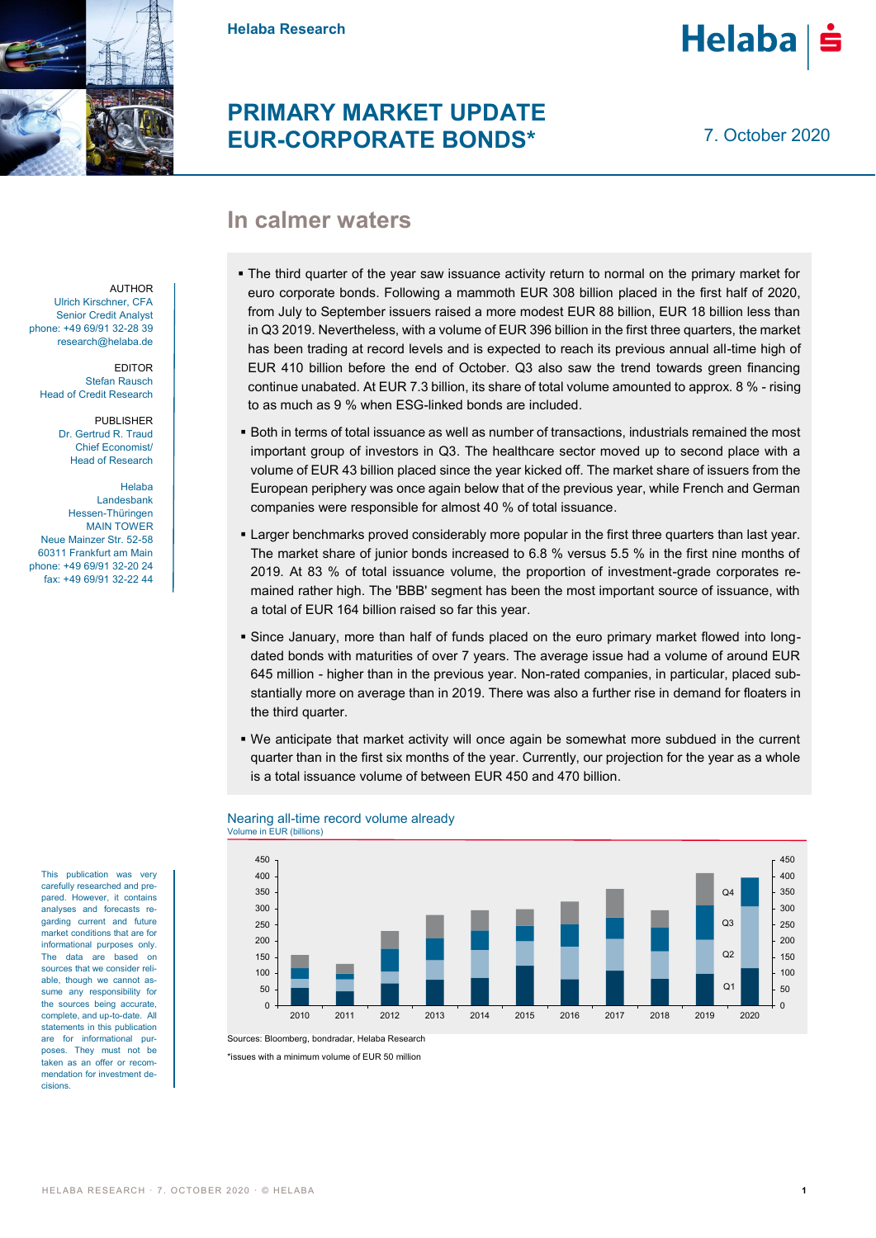

**Helaba Research**

## **PRIMARY MARKET UPDATE EUR-CORPORATE BONDS\***

7. October 2020

**Helaba** 

## **In calmer waters**

AUTHOR Ulrich Kirschner, CFA Senior Credit Analyst phone: +49 69/91 32-28 39 research@helaba.de

EDITOR Stefan Rausch Head of Credit Research

> PUBLISHER Dr. Gertrud R. Traud Chief Economist/ Head of Research

Helaba Landesbank Hessen-Thüringen MAIN TOWER Neue Mainzer Str. 52-58 60311 Frankfurt am Main phone: +49 69/91 32-20 24 fax: +49 69/91 32-22 44

This publication was very carefully researched and prepared. However, it contains analyses and forecasts regarding current and future market conditions that are for informational purposes only. The data are based on sources that we consider reliable, though we cannot assume any responsibility for the sources being accurate, complete, and up-to-date. All statements in this publication are for informational purposes. They must not be taken as an offer or recommendation for investment decisions.

- The third quarter of the year saw issuance activity return to normal on the primary market for euro corporate bonds. Following a mammoth EUR 308 billion placed in the first half of 2020, from July to September issuers raised a more modest EUR 88 billion, EUR 18 billion less than in Q3 2019. Nevertheless, with a volume of EUR 396 billion in the first three quarters, the market has been trading at record levels and is expected to reach its previous annual all-time high of EUR 410 billion before the end of October. Q3 also saw the trend towards green financing continue unabated. At EUR 7.3 billion, its share of total volume amounted to approx. 8 % - rising to as much as 9 % when ESG-linked bonds are included.
- Both in terms of total issuance as well as number of transactions, industrials remained the most important group of investors in Q3. The healthcare sector moved up to second place with a volume of EUR 43 billion placed since the year kicked off. The market share of issuers from the European periphery was once again below that of the previous year, while French and German companies were responsible for almost 40 % of total issuance.
- **Larger benchmarks proved considerably more popular in the first three quarters than last year.** The market share of junior bonds increased to 6.8 % versus 5.5 % in the first nine months of 2019. At 83 % of total issuance volume, the proportion of investment-grade corporates remained rather high. The 'BBB' segment has been the most important source of issuance, with a total of EUR 164 billion raised so far this year.
- Since January, more than half of funds placed on the euro primary market flowed into longdated bonds with maturities of over 7 years. The average issue had a volume of around EUR 645 million - higher than in the previous year. Non-rated companies, in particular, placed substantially more on average than in 2019. There was also a further rise in demand for floaters in the third quarter.
- We anticipate that market activity will once again be somewhat more subdued in the current quarter than in the first six months of the year. Currently, our projection for the year as a whole is a total issuance volume of between EUR 450 and 470 billion.



### Nearing all-time record volume already Volume in EUR (billions)

Sources: Bloomberg, bondradar, Helaba Research

\*issues with a minimum volume of EUR 50 million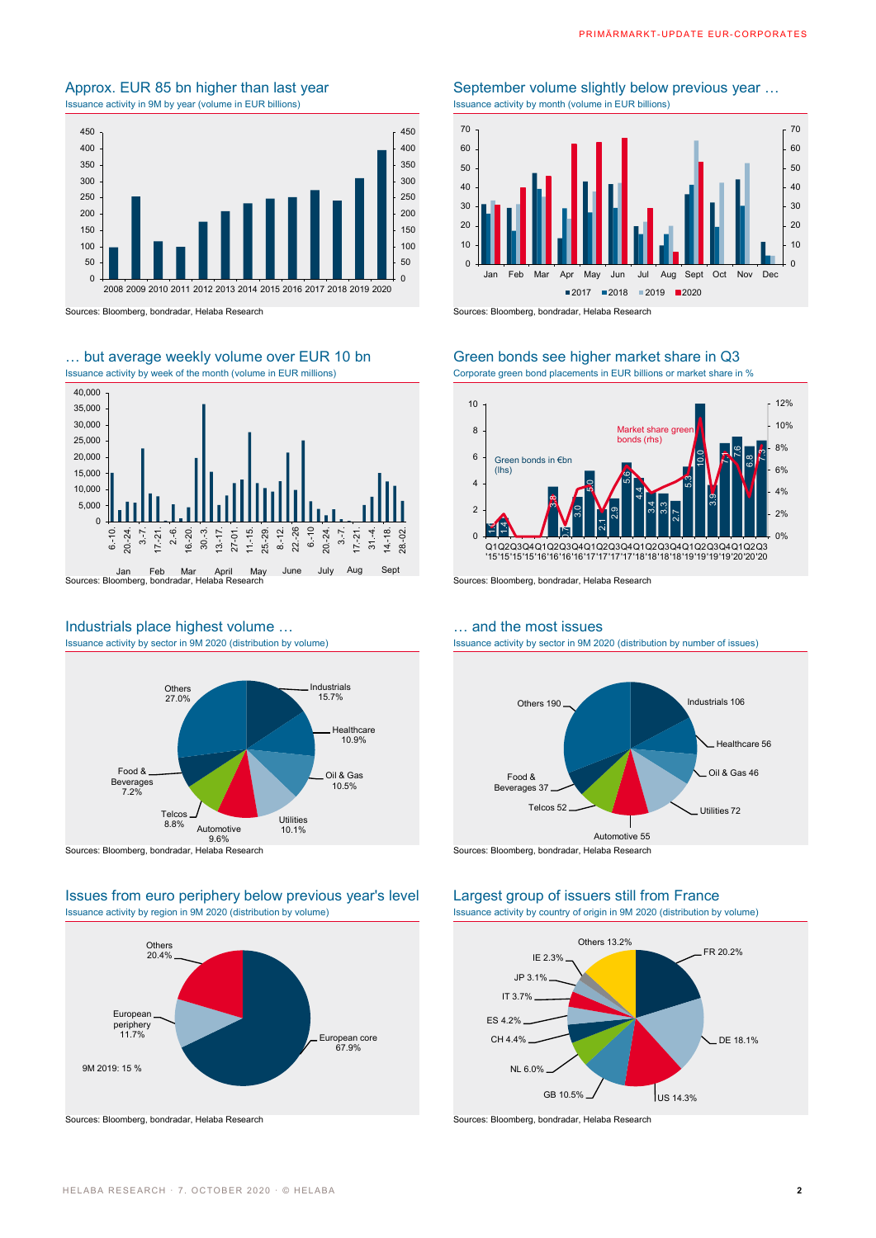# Issuance activity in 9M by year (volume in EUR billions)



Sources: Bloomberg, bondradar, Helaba Research Sources: Bloomberg, bondradar, Helaba Research

# … but average weekly volume over EUR 10 bn Green bonds see higher market share in Q3<br>Issuance activity by week of the month (volume in EUR millions) Corporate green bond placements in EUR billions or market share in



# Industrials place highest volume ... <br>
Issuance activity by sector in 9M 2020 (distribution by volume) <br>
Issuance activity by sector in 9M 20



Sources: Bloomberg, bondradar, Helaba Research Sources: Bloomberg, bondradar, Helaba Research

### Issues from euro periphery below previous year's level Largest group of issuers still from France Issuance activity by region in 9M 2020 (distribution by volume) Issuance activity by country of origin in 9M 2020 (distribution by volume)



# Approx. EUR 85 bn higher than last year September volume slightly below previous year ...<br>
Issuance activity in 9M by year (volume in EUR billions) Surface activity by month (volume in EUR billions)



Corporate green bond placements in EUR billions or market share in %



Issuance activity by sector in 9M 2020 (distribution by number of issues)